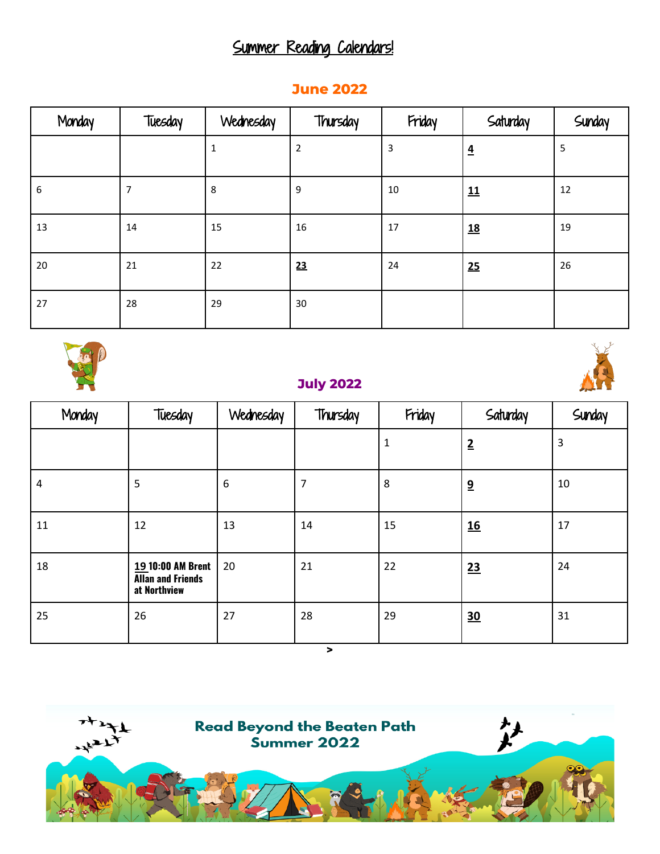## Summer Reading Calendars!

# Monday | Tuesday | Wednesday | Thursday | Friday | Saturday | Sunday 1 |2 |3 |<u>4</u> |5 6 7 8 9 10 11 12 13 14 15 16 17 1**<u>18</u>** 19 20 21 22 **23** 24 **25** 26 27 28 29 30



#### **July 2022**





**>**

### **June 2022**